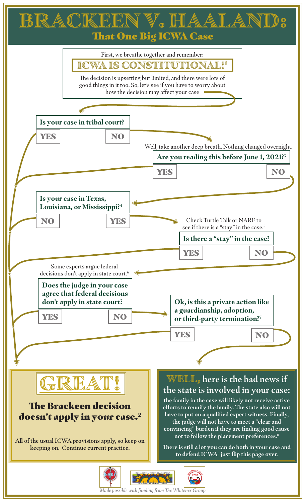| BRACKERN V. HAALAND:<br><b>That One Big ICWA Case</b>                                                                                                                                                                                                                                                                                                                                                                                                                                                                                                                                                                                                                                                  |
|--------------------------------------------------------------------------------------------------------------------------------------------------------------------------------------------------------------------------------------------------------------------------------------------------------------------------------------------------------------------------------------------------------------------------------------------------------------------------------------------------------------------------------------------------------------------------------------------------------------------------------------------------------------------------------------------------------|
| First, we breathe together and remember:<br>ICWA IS CONSTITUTIONAL!!<br>The decision is upsetting but limited, and there were lots of<br>good things in it too. So, let's see if you have to worry about<br>how the decision may affect your case                                                                                                                                                                                                                                                                                                                                                                                                                                                      |
|                                                                                                                                                                                                                                                                                                                                                                                                                                                                                                                                                                                                                                                                                                        |
| Is your case in tribal court?                                                                                                                                                                                                                                                                                                                                                                                                                                                                                                                                                                                                                                                                          |
| YES<br>NO                                                                                                                                                                                                                                                                                                                                                                                                                                                                                                                                                                                                                                                                                              |
| Well, take another deep breath. Nothing changed overnight.<br>Are you reading this before June 1, 2021? <sup>3</sup>                                                                                                                                                                                                                                                                                                                                                                                                                                                                                                                                                                                   |
| YES<br>NO                                                                                                                                                                                                                                                                                                                                                                                                                                                                                                                                                                                                                                                                                              |
|                                                                                                                                                                                                                                                                                                                                                                                                                                                                                                                                                                                                                                                                                                        |
| Is your case in Texas,<br>Louisiana, or Mississippi? <sup>4</sup>                                                                                                                                                                                                                                                                                                                                                                                                                                                                                                                                                                                                                                      |
| Check Turtle Talk or NARF to<br>NO<br>YES<br>see if there is a "stay" in the case. <sup>5</sup>                                                                                                                                                                                                                                                                                                                                                                                                                                                                                                                                                                                                        |
| Is there a "stay" in the case?                                                                                                                                                                                                                                                                                                                                                                                                                                                                                                                                                                                                                                                                         |
| NO<br>YES                                                                                                                                                                                                                                                                                                                                                                                                                                                                                                                                                                                                                                                                                              |
| Some experts argue federal                                                                                                                                                                                                                                                                                                                                                                                                                                                                                                                                                                                                                                                                             |
| decisions don't apply in state court. <sup>6</sup><br>Does the judge in your case<br>agree that federal decisions<br>don't apply in state court?<br>Ok, is this a private action like<br>a guardianship, adoption,<br>YES<br>NO <sub>1</sub><br>or third-party termination?7                                                                                                                                                                                                                                                                                                                                                                                                                           |
|                                                                                                                                                                                                                                                                                                                                                                                                                                                                                                                                                                                                                                                                                                        |
| YES<br>NO                                                                                                                                                                                                                                                                                                                                                                                                                                                                                                                                                                                                                                                                                              |
|                                                                                                                                                                                                                                                                                                                                                                                                                                                                                                                                                                                                                                                                                                        |
| <b>WELL</b> , here is the bad news if<br>the state is involved in your case:<br>the family in the case will likely not receive active<br><b>The Brackeen decision</b><br>efforts to reunify the family. The state also will not<br>have to put on a qualified expert witness. Finally,<br>doesn't apply in your case. <sup>2</sup><br>the judge will not have to meet a "clear and<br>convincing" burden if they are finding good cause<br>not to follow the placement preferences. <sup>8</sup><br>All of the usual ICWA provisions apply, so keep on<br>There is still a lot you can do both in your case and<br>keeping on. Continue current practice.<br>to defend ICWA- just flip this page over. |
| MICHIGAN STATE UNIVERSITY COLLEGE OF LAW<br><b>IARI</b><br><b>ICWA</b><br>Made possible with funding from The Whitener Group                                                                                                                                                                                                                                                                                                                                                                                                                                                                                                                                                                           |